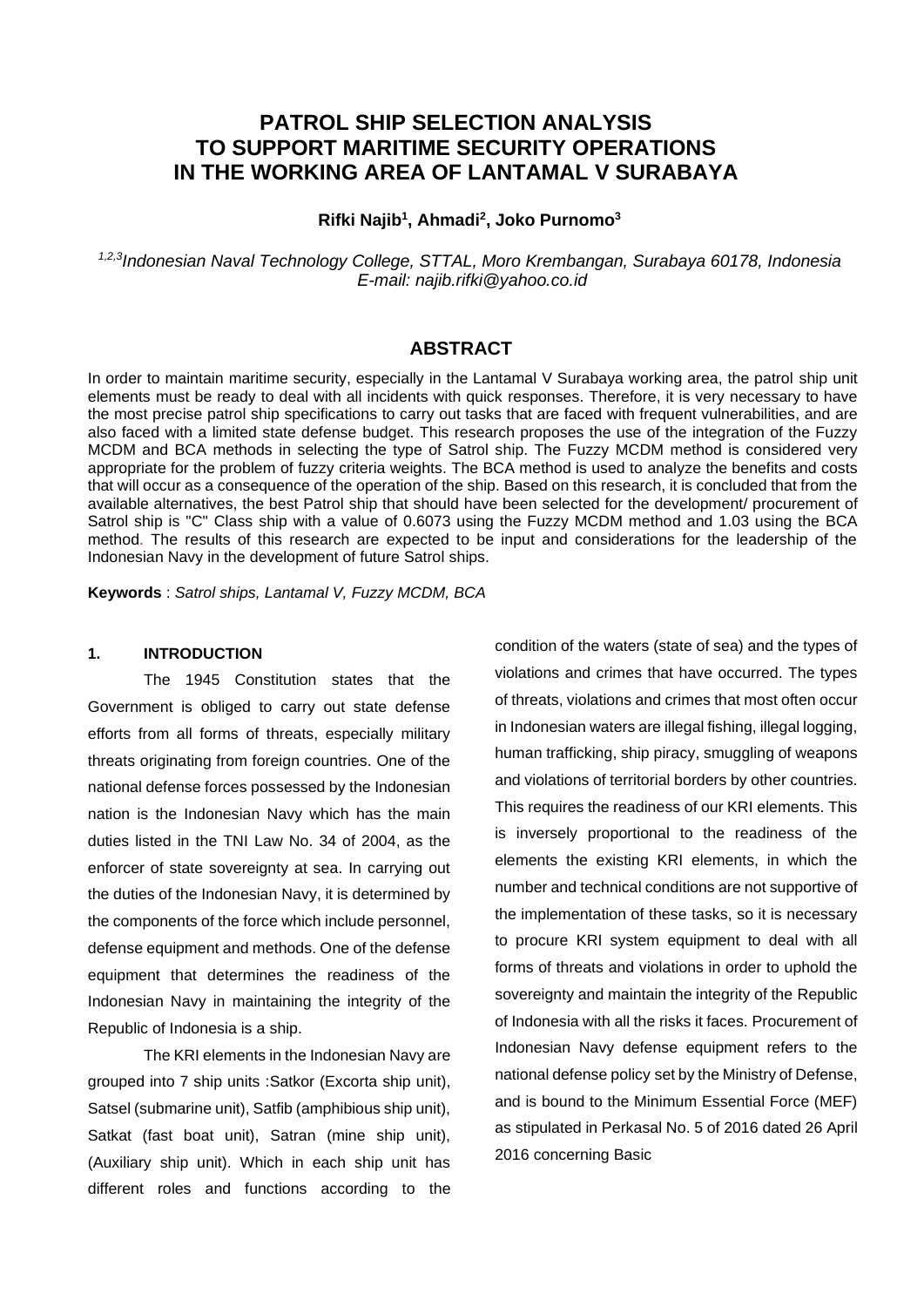# **PATROL SHIP SELECTION ANALYSIS TO SUPPORT MARITIME SECURITY OPERATIONS IN THE WORKING AREA OF LANTAMAL V SURABAYA**

**Rifki Najib<sup>1</sup> , Ahmadi<sup>2</sup> , Joko Purnomo<sup>3</sup>**

*1,2,3Indonesian Naval Technology College, STTAL, Moro Krembangan, Surabaya 60178, Indonesia E-mail: najib.rifki@yahoo.co.id*

## **ABSTRACT**

In order to maintain maritime security, especially in the Lantamal V Surabaya working area, the patrol ship unit elements must be ready to deal with all incidents with quick responses. Therefore, it is very necessary to have the most precise patrol ship specifications to carry out tasks that are faced with frequent vulnerabilities, and are also faced with a limited state defense budget. This research proposes the use of the integration of the Fuzzy MCDM and BCA methods in selecting the type of Satrol ship. The Fuzzy MCDM method is considered very appropriate for the problem of fuzzy criteria weights. The BCA method is used to analyze the benefits and costs that will occur as a consequence of the operation of the ship. Based on this research, it is concluded that from the available alternatives, the best Patrol ship that should have been selected for the development/ procurement of Satrol ship is "C" Class ship with a value of 0.6073 using the Fuzzy MCDM method and 1.03 using the BCA method. The results of this research are expected to be input and considerations for the leadership of the Indonesian Navy in the development of future Satrol ships.

**Keywords** : *Satrol ships, Lantamal V, Fuzzy MCDM, BCA*

#### **1. INTRODUCTION**

The 1945 Constitution states that the Government is obliged to carry out state defense efforts from all forms of threats, especially military threats originating from foreign countries. One of the national defense forces possessed by the Indonesian nation is the Indonesian Navy which has the main duties listed in the TNI Law No. 34 of 2004, as the enforcer of state sovereignty at sea. In carrying out the duties of the Indonesian Navy, it is determined by the components of the force which include personnel, defense equipment and methods. One of the defense equipment that determines the readiness of the Indonesian Navy in maintaining the integrity of the Republic of Indonesia is a ship.

The KRI elements in the Indonesian Navy are grouped into 7 ship units :Satkor (Excorta ship unit), Satsel (submarine unit), Satfib (amphibious ship unit), Satkat (fast boat unit), Satran (mine ship unit), (Auxiliary ship unit). Which in each ship unit has different roles and functions according to the

condition of the waters (state of sea) and the types of violations and crimes that have occurred. The types of threats, violations and crimes that most often occur in Indonesian waters are illegal fishing, illegal logging, human trafficking, ship piracy, smuggling of weapons and violations of territorial borders by other countries. This requires the readiness of our KRI elements. This is inversely proportional to the readiness of the elements the existing KRI elements, in which the number and technical conditions are not supportive of the implementation of these tasks, so it is necessary to procure KRI system equipment to deal with all forms of threats and violations in order to uphold the sovereignty and maintain the integrity of the Republic of Indonesia with all the risks it faces. Procurement of Indonesian Navy defense equipment refers to the national defense policy set by the Ministry of Defense, and is bound to the Minimum Essential Force (MEF) as stipulated in Perkasal No. 5 of 2016 dated 26 April 2016 concerning Basic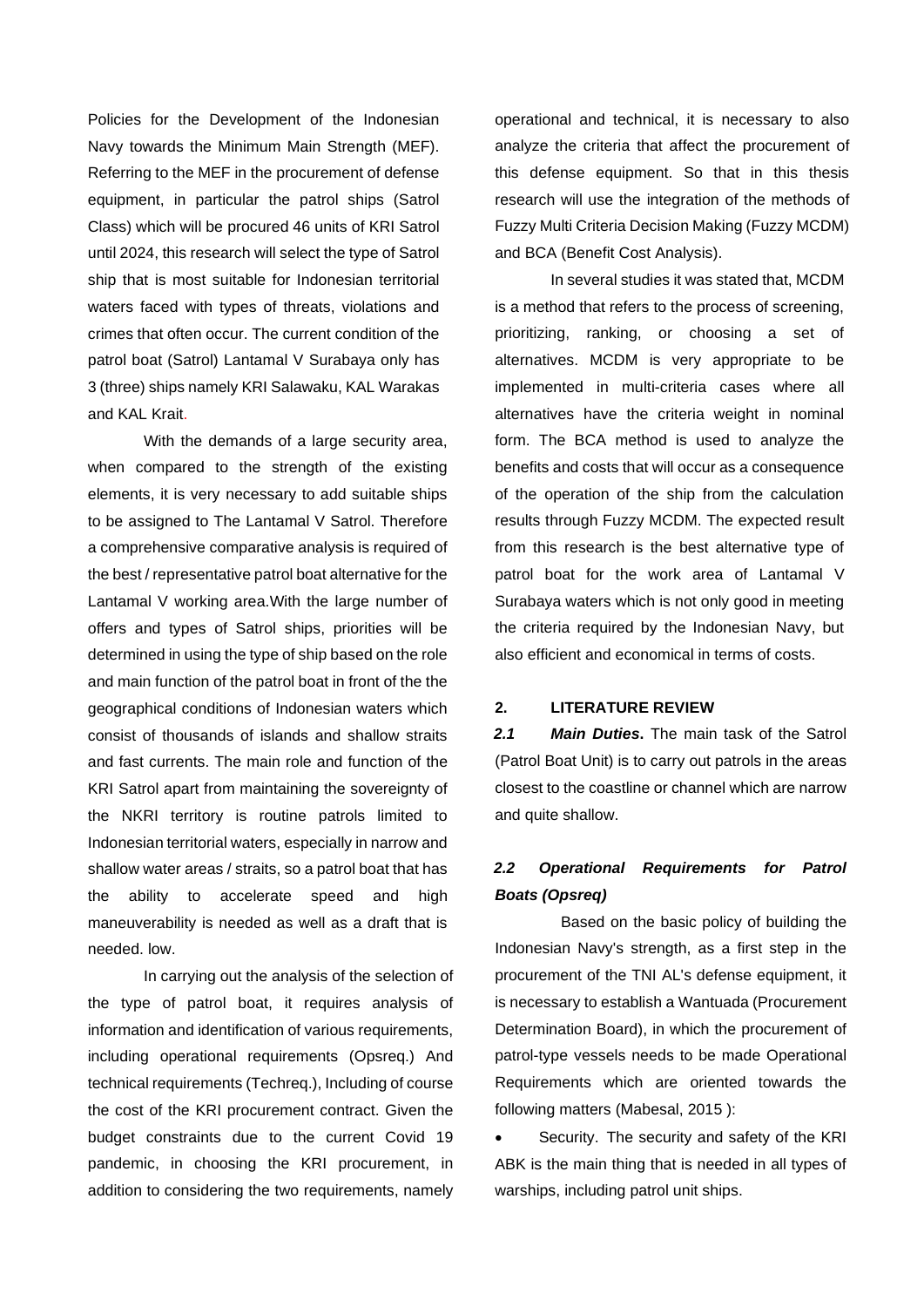Policies for the Development of the Indonesian Navy towards the Minimum Main Strength (MEF). Referring to the MEF in the procurement of defense equipment, in particular the patrol ships (Satrol Class) which will be procured 46 units of KRI Satrol until 2024, this research will select the type of Satrol ship that is most suitable for Indonesian territorial waters faced with types of threats, violations and crimes that often occur. The current condition of the patrol boat (Satrol) Lantamal V Surabaya only has 3 (three) ships namely KRI Salawaku, KAL Warakas and KAL Krait.

With the demands of a large security area, when compared to the strength of the existing elements, it is very necessary to add suitable ships to be assigned to The Lantamal V Satrol. Therefore a comprehensive comparative analysis is required of the best / representative patrol boat alternative for the Lantamal V working area.With the large number of offers and types of Satrol ships, priorities will be determined in using the type of ship based on the role and main function of the patrol boat in front of the the geographical conditions of Indonesian waters which consist of thousands of islands and shallow straits and fast currents. The main role and function of the KRI Satrol apart from maintaining the sovereignty of the NKRI territory is routine patrols limited to Indonesian territorial waters, especially in narrow and shallow water areas / straits, so a patrol boat that has the ability to accelerate speed and high maneuverability is needed as well as a draft that is needed. low.

In carrying out the analysis of the selection of the type of patrol boat, it requires analysis of information and identification of various requirements, including operational requirements (Opsreq.) And technical requirements (Techreq.), Including of course the cost of the KRI procurement contract. Given the budget constraints due to the current Covid 19 pandemic, in choosing the KRI procurement, in addition to considering the two requirements, namely operational and technical, it is necessary to also analyze the criteria that affect the procurement of this defense equipment. So that in this thesis research will use the integration of the methods of Fuzzy Multi Criteria Decision Making (Fuzzy MCDM) and BCA (Benefit Cost Analysis).

In several studies it was stated that, MCDM is a method that refers to the process of screening, prioritizing, ranking, or choosing a set of alternatives. MCDM is very appropriate to be implemented in multi-criteria cases where all alternatives have the criteria weight in nominal form. The BCA method is used to analyze the benefits and costs that will occur as a consequence of the operation of the ship from the calculation results through Fuzzy MCDM. The expected result from this research is the best alternative type of patrol boat for the work area of Lantamal V Surabaya waters which is not only good in meeting the criteria required by the Indonesian Navy, but also efficient and economical in terms of costs.

## **2. LITERATURE REVIEW**

*2.1 Main Duties***.** The main task of the Satrol (Patrol Boat Unit) is to carry out patrols in the areas closest to the coastline or channel which are narrow and quite shallow.

# *2.2 Operational Requirements for Patrol Boats (Opsreq)*

Based on the basic policy of building the Indonesian Navy's strength, as a first step in the procurement of the TNI AL's defense equipment, it is necessary to establish a Wantuada (Procurement Determination Board), in which the procurement of patrol-type vessels needs to be made Operational Requirements which are oriented towards the following matters (Mabesal, 2015 ):

Security. The security and safety of the KRI ABK is the main thing that is needed in all types of warships, including patrol unit ships.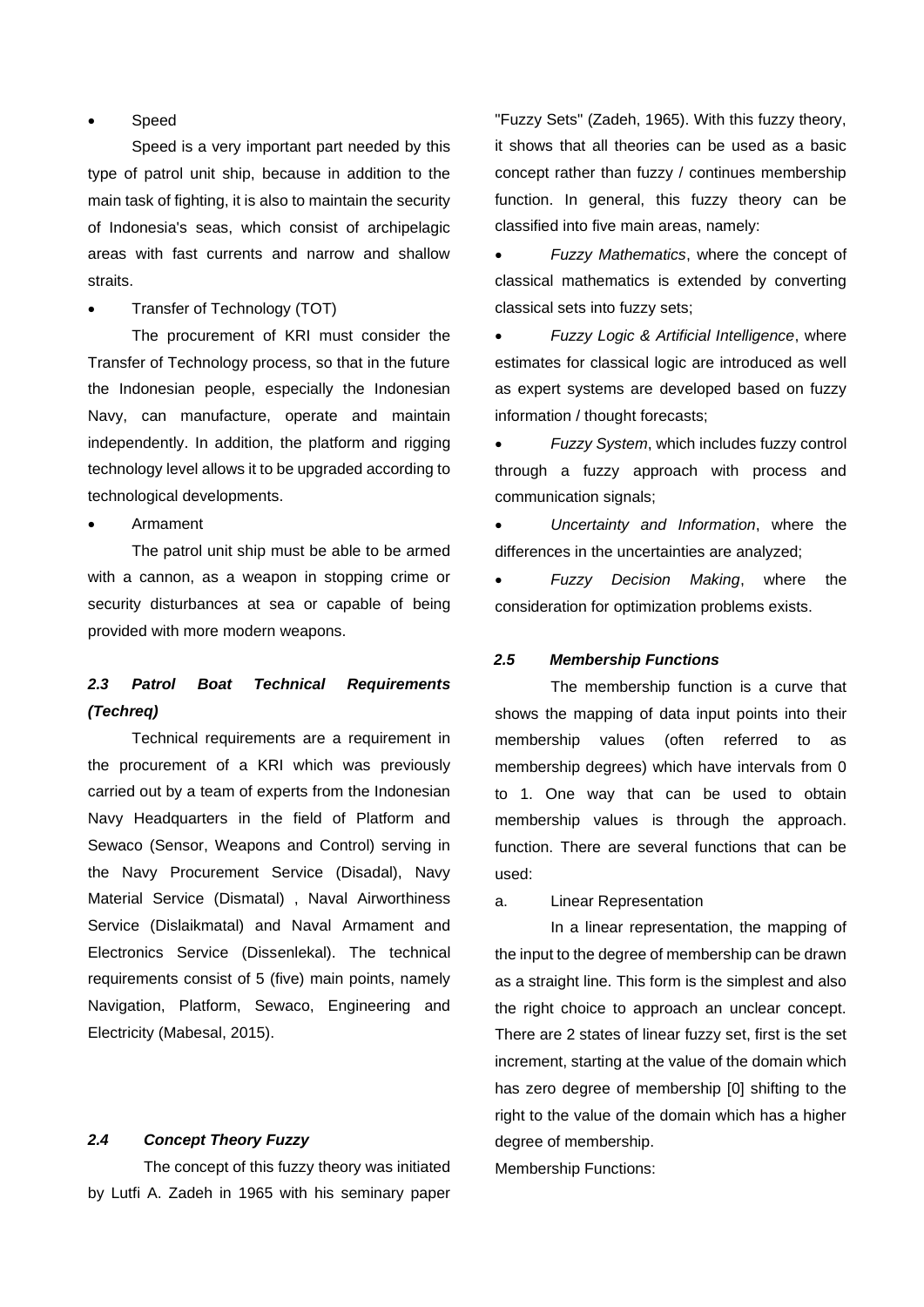### **Speed**

Speed is a very important part needed by this type of patrol unit ship, because in addition to the main task of fighting, it is also to maintain the security of Indonesia's seas, which consist of archipelagic areas with fast currents and narrow and shallow straits.

• Transfer of Technology (TOT)

The procurement of KRI must consider the Transfer of Technology process, so that in the future the Indonesian people, especially the Indonesian Navy, can manufacture, operate and maintain independently. In addition, the platform and rigging technology level allows it to be upgraded according to technological developments.

• Armament

The patrol unit ship must be able to be armed with a cannon, as a weapon in stopping crime or security disturbances at sea or capable of being provided with more modern weapons.

# *2.3 Patrol Boat Technical Requirements (Techreq)*

Technical requirements are a requirement in the procurement of a KRI which was previously carried out by a team of experts from the Indonesian Navy Headquarters in the field of Platform and Sewaco (Sensor, Weapons and Control) serving in the Navy Procurement Service (Disadal), Navy Material Service (Dismatal) , Naval Airworthiness Service (Dislaikmatal) and Naval Armament and Electronics Service (Dissenlekal). The technical requirements consist of 5 (five) main points, namely Navigation, Platform, Sewaco, Engineering and Electricity (Mabesal, 2015).

### *2.4 Concept Theory Fuzzy*

The concept of this fuzzy theory was initiated by Lutfi A. Zadeh in 1965 with his seminary paper

"Fuzzy Sets" (Zadeh, 1965). With this fuzzy theory, it shows that all theories can be used as a basic concept rather than fuzzy / continues membership function. In general, this fuzzy theory can be classified into five main areas, namely:

• *Fuzzy Mathematics*, where the concept of classical mathematics is extended by converting classical sets into fuzzy sets;

• *Fuzzy Logic & Artificial Intelligence*, where estimates for classical logic are introduced as well as expert systems are developed based on fuzzy information / thought forecasts;

• *Fuzzy System*, which includes fuzzy control through a fuzzy approach with process and communication signals;

• *Uncertainty and Information*, where the differences in the uncertainties are analyzed;

• *Fuzzy Decision Making*, where the consideration for optimization problems exists.

### *2.5 Membership Functions*

The membership function is a curve that shows the mapping of data input points into their membership values (often referred to as membership degrees) which have intervals from 0 to 1. One way that can be used to obtain membership values is through the approach. function. There are several functions that can be used:

a. Linear Representation

In a linear representation, the mapping of the input to the degree of membership can be drawn as a straight line. This form is the simplest and also the right choice to approach an unclear concept. There are 2 states of linear fuzzy set, first is the set increment, starting at the value of the domain which has zero degree of membership [0] shifting to the right to the value of the domain which has a higher degree of membership.

Membership Functions: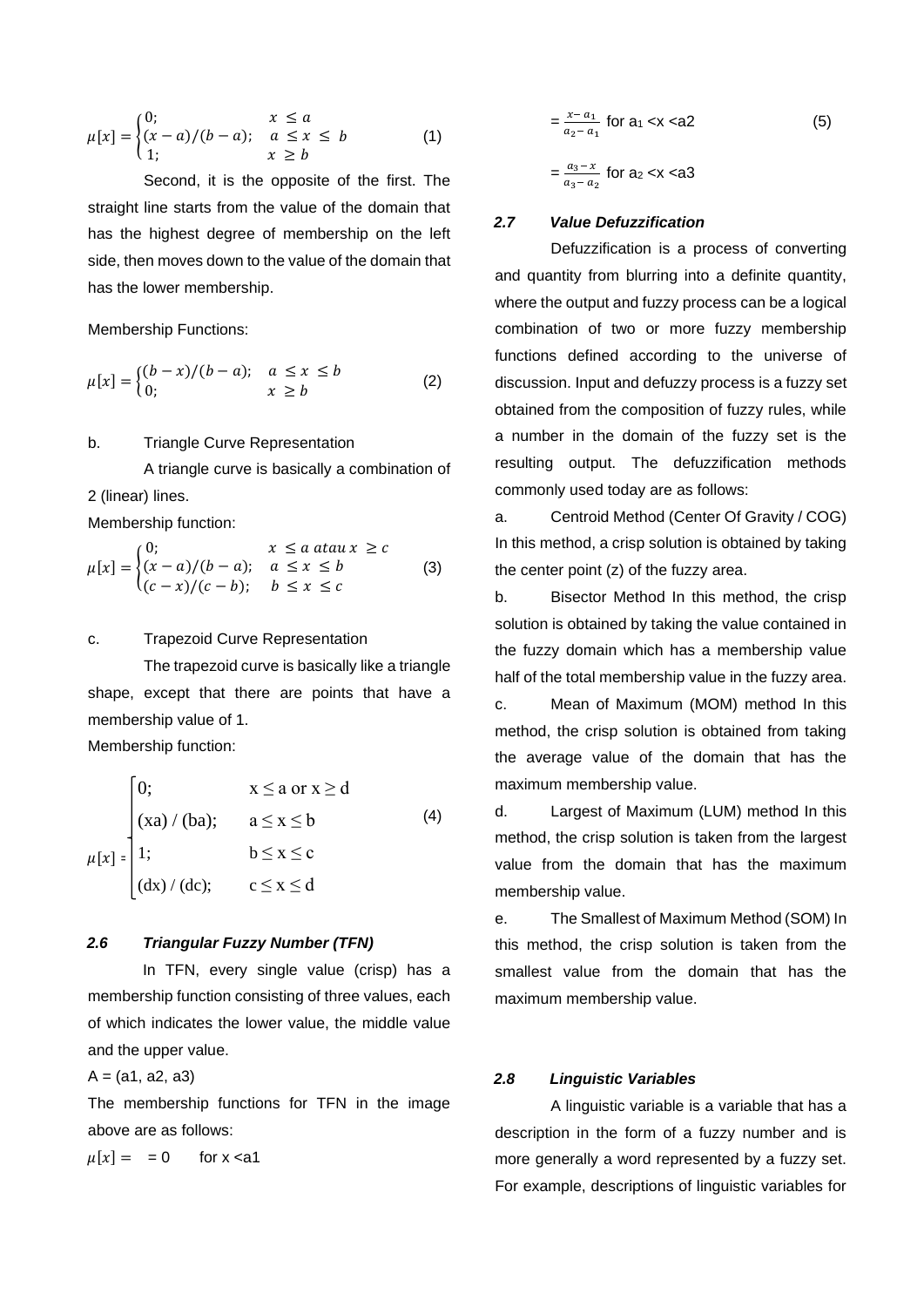$$
\mu[x] = \begin{cases} 0; & x \le a \\ (x-a)/(b-a); & a \le x \le b \\ 1; & x \ge b \end{cases}
$$
 (1)

Second, it is the opposite of the first. The straight line starts from the value of the domain that has the highest degree of membership on the left side, then moves down to the value of the domain that has the lower membership.

Membership Functions:

$$
\mu[x] = \begin{cases} (b-x)/(b-a); & a \le x \le b \\ 0; & x \ge b \end{cases}
$$
 (2)

#### b. Triangle Curve Representation

A triangle curve is basically a combination of 2 (linear) lines. Membership function:

$$
\mu[x] = \begin{cases} 0; & x \le a \text{ atau } x \ge c \\ (x-a)/(b-a); & a \le x \le b \\ (c-x)/(c-b); & b \le x \le c \end{cases}
$$
 (3)

#### c. Trapezoid Curve Representation

The trapezoid curve is basically like a triangle shape, except that there are points that have a membership value of 1.

Membership function:

 $\epsilon$ 

$$
\begin{cases}\n0; & x \le a \text{ or } x \ge d \\
(xa) / (ba); & a \le x \le b \\
1; & b \le x \le c \\
(dx) / (dc); & c \le x \le d\n\end{cases}
$$
\n(4)

## *2.6 Triangular Fuzzy Number (TFN)*

In TFN, every single value (crisp) has a membership function consisting of three values, each of which indicates the lower value, the middle value and the upper value.

 $A = (a1, a2, a3)$ 

The membership functions for TFN in the image above are as follows:

 $\mu[x] = = 0$  for x <a1

$$
= \frac{x - a_1}{a_2 - a_1} \text{ for a1} < x < a2
$$
 (5)  

$$
= \frac{a_3 - x}{a_3 - a_2} \text{ for a2} < x < a3
$$

#### *2.7 Value Defuzzification*

Defuzzification is a process of converting and quantity from blurring into a definite quantity, where the output and fuzzy process can be a logical combination of two or more fuzzy membership functions defined according to the universe of discussion. Input and defuzzy process is a fuzzy set obtained from the composition of fuzzy rules, while a number in the domain of the fuzzy set is the resulting output. The defuzzification methods commonly used today are as follows:

a. Centroid Method (Center Of Gravity / COG) In this method, a crisp solution is obtained by taking the center point (z) of the fuzzy area.

b. Bisector Method In this method, the crisp solution is obtained by taking the value contained in the fuzzy domain which has a membership value half of the total membership value in the fuzzy area.

c. Mean of Maximum (MOM) method In this method, the crisp solution is obtained from taking the average value of the domain that has the maximum membership value.

d. Largest of Maximum (LUM) method In this method, the crisp solution is taken from the largest value from the domain that has the maximum membership value.

e. The Smallest of Maximum Method (SOM) In this method, the crisp solution is taken from the smallest value from the domain that has the maximum membership value.

### *2.8 Linguistic Variables*

A linguistic variable is a variable that has a description in the form of a fuzzy number and is more generally a word represented by a fuzzy set. For example, descriptions of linguistic variables for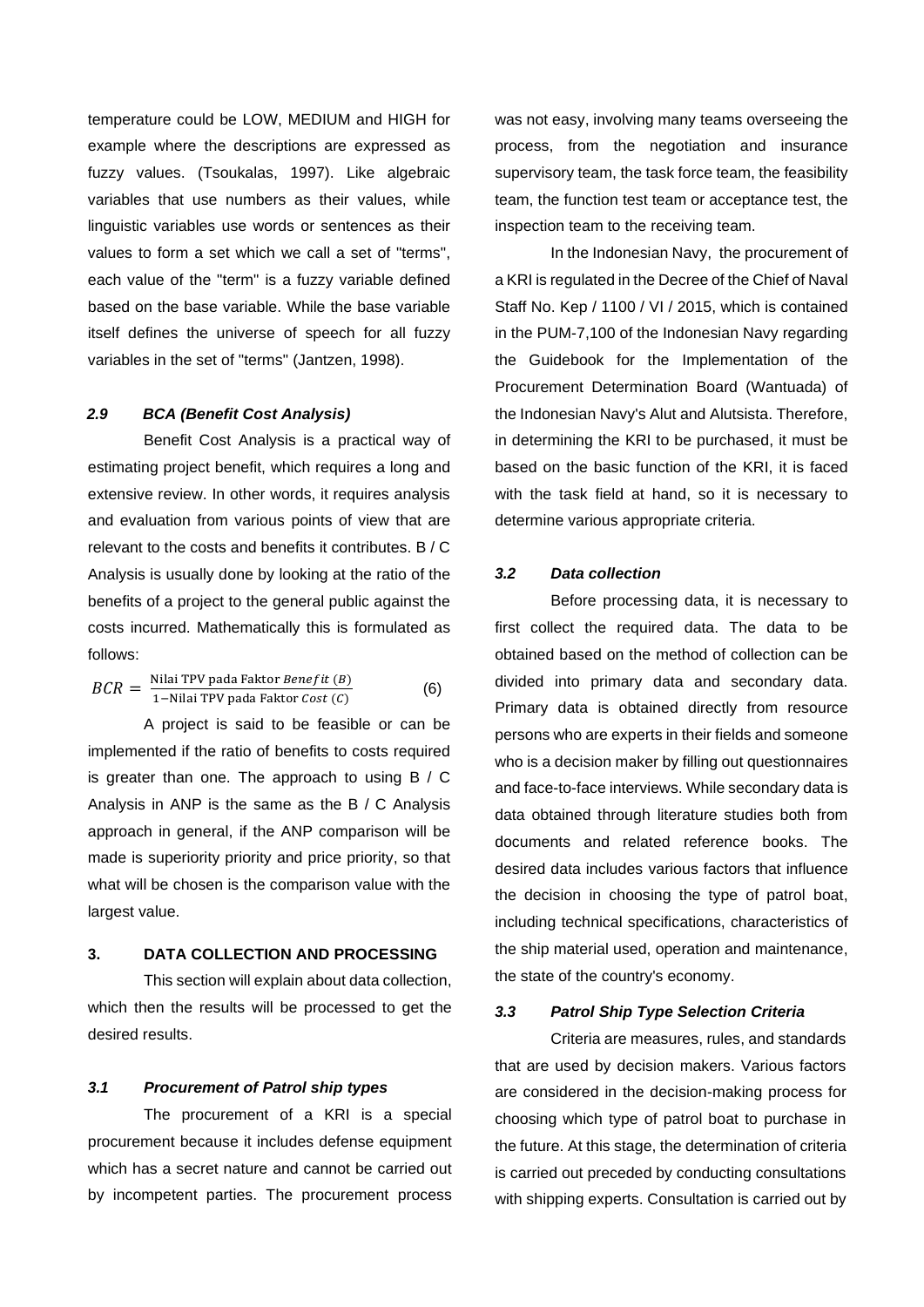temperature could be LOW, MEDIUM and HIGH for example where the descriptions are expressed as fuzzy values. (Tsoukalas, 1997). Like algebraic variables that use numbers as their values, while linguistic variables use words or sentences as their values to form a set which we call a set of "terms", each value of the "term" is a fuzzy variable defined based on the base variable. While the base variable itself defines the universe of speech for all fuzzy variables in the set of "terms" (Jantzen, 1998).

#### *2.9 BCA (Benefit Cost Analysis)*

Benefit Cost Analysis is a practical way of estimating project benefit, which requires a long and extensive review. In other words, it requires analysis and evaluation from various points of view that are relevant to the costs and benefits it contributes. B / C Analysis is usually done by looking at the ratio of the benefits of a project to the general public against the costs incurred. Mathematically this is formulated as follows:

$$
BCR = \frac{\text{Nilai TPV pada Faktor Benefit (B)}}{1-\text{Nilai TPV pada Faktor Cost (C)}}
$$
 (6)

A project is said to be feasible or can be implemented if the ratio of benefits to costs required is greater than one. The approach to using B / C Analysis in ANP is the same as the B / C Analysis approach in general, if the ANP comparison will be made is superiority priority and price priority, so that what will be chosen is the comparison value with the largest value.

#### **3. DATA COLLECTION AND PROCESSING**

This section will explain about data collection, which then the results will be processed to get the desired results.

### *3.1 Procurement of Patrol ship types*

The procurement of a KRI is a special procurement because it includes defense equipment which has a secret nature and cannot be carried out by incompetent parties. The procurement process was not easy, involving many teams overseeing the process, from the negotiation and insurance supervisory team, the task force team, the feasibility team, the function test team or acceptance test, the inspection team to the receiving team.

In the Indonesian Navy, the procurement of a KRI is regulated in the Decree of the Chief of Naval Staff No. Kep / 1100 / VI / 2015, which is contained in the PUM-7,100 of the Indonesian Navy regarding the Guidebook for the Implementation of the Procurement Determination Board (Wantuada) of the Indonesian Navy's Alut and Alutsista. Therefore, in determining the KRI to be purchased, it must be based on the basic function of the KRI, it is faced with the task field at hand, so it is necessary to determine various appropriate criteria.

## *3.2 Data collection*

Before processing data, it is necessary to first collect the required data. The data to be obtained based on the method of collection can be divided into primary data and secondary data. Primary data is obtained directly from resource persons who are experts in their fields and someone who is a decision maker by filling out questionnaires and face-to-face interviews. While secondary data is data obtained through literature studies both from documents and related reference books. The desired data includes various factors that influence the decision in choosing the type of patrol boat, including technical specifications, characteristics of the ship material used, operation and maintenance, the state of the country's economy.

#### *3.3 Patrol Ship Type Selection Criteria*

Criteria are measures, rules, and standards that are used by decision makers. Various factors are considered in the decision-making process for choosing which type of patrol boat to purchase in the future. At this stage, the determination of criteria is carried out preceded by conducting consultations with shipping experts. Consultation is carried out by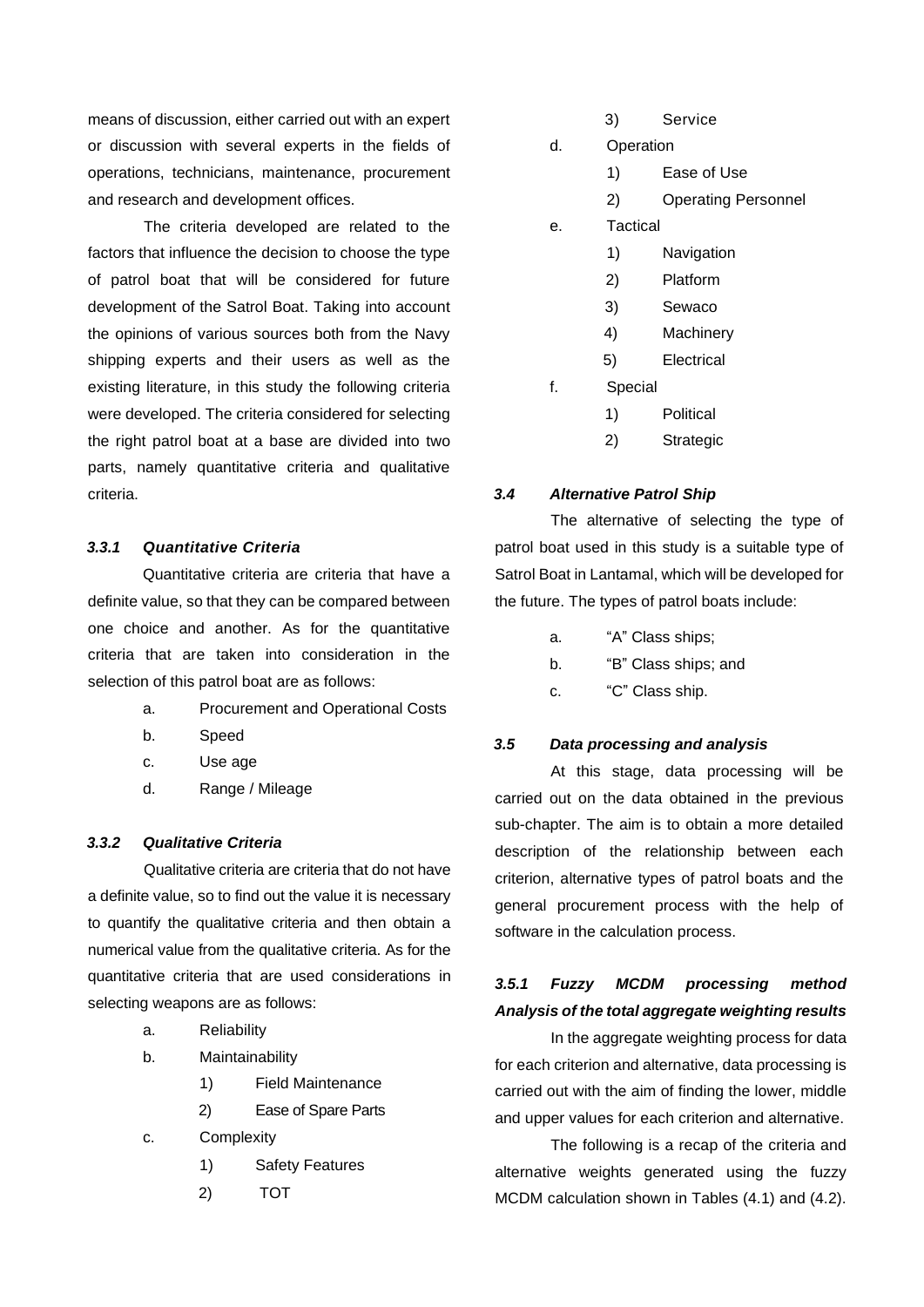means of discussion, either carried out with an expert or discussion with several experts in the fields of operations, technicians, maintenance, procurement and research and development offices.

The criteria developed are related to the factors that influence the decision to choose the type of patrol boat that will be considered for future development of the Satrol Boat. Taking into account the opinions of various sources both from the Navy shipping experts and their users as well as the existing literature, in this study the following criteria were developed. The criteria considered for selecting the right patrol boat at a base are divided into two parts, namely quantitative criteria and qualitative criteria.

## *3.3.1 Quantitative Criteria*

Quantitative criteria are criteria that have a definite value, so that they can be compared between one choice and another. As for the quantitative criteria that are taken into consideration in the selection of this patrol boat are as follows:

- a. Procurement and Operational Costs
- b. Speed
- c. Use age
- d. Range / Mileage

## *3.3.2 Qualitative Criteria*

Qualitative criteria are criteria that do not have a definite value, so to find out the value it is necessary to quantify the qualitative criteria and then obtain a numerical value from the qualitative criteria. As for the quantitative criteria that are used considerations in selecting weapons are as follows:

- a. Reliability
- b. Maintainability
	- 1) Field Maintenance
		- 2) Ease of Spare Parts
- c. Complexity
	- 1) Safety Features
	- 2) TOT

|    | 3)        | Service                    |
|----|-----------|----------------------------|
| d. | Operation |                            |
|    | 1)        | Ease of Use                |
|    | 2)        | <b>Operating Personnel</b> |
| е. | Tactical  |                            |
|    | 1)        | Navigation                 |
|    | 2)        | Platform                   |
|    | 3)        | Sewaco                     |
|    | 4)        | Machinery                  |
|    | 5)        | Electrical                 |
| f. | Special   |                            |
|    | 1)        | Political                  |
|    | 2)        | Strategic                  |

### *3.4 Alternative Patrol Ship*

The alternative of selecting the type of patrol boat used in this study is a suitable type of Satrol Boat in Lantamal, which will be developed for the future. The types of patrol boats include:

- a. "A" Class ships;
- b. "B" Class ships; and
- c. "C" Class ship.

### *3.5 Data processing and analysis*

At this stage, data processing will be carried out on the data obtained in the previous sub-chapter. The aim is to obtain a more detailed description of the relationship between each criterion, alternative types of patrol boats and the general procurement process with the help of software in the calculation process.

# *3.5.1 Fuzzy MCDM processing method Analysis of the total aggregate weighting results*

In the aggregate weighting process for data for each criterion and alternative, data processing is carried out with the aim of finding the lower, middle and upper values for each criterion and alternative.

The following is a recap of the criteria and alternative weights generated using the fuzzy MCDM calculation shown in Tables (4.1) and (4.2).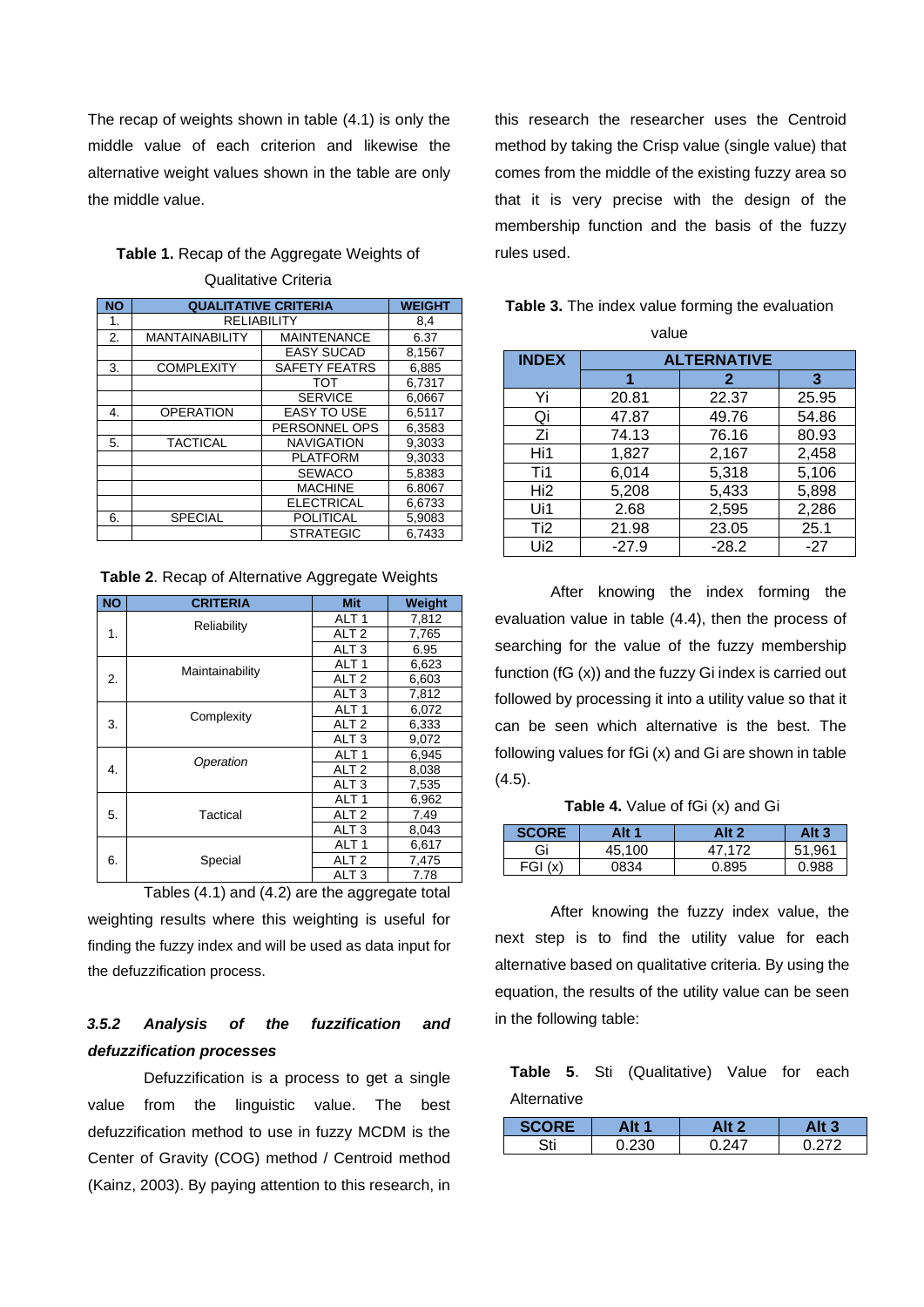The recap of weights shown in table (4.1) is only the middle value of each criterion and likewise the alternative weight values shown in the table are only the middle value.

## **Table 1.** Recap of the Aggregate Weights of Qualitative Criteria

| <b>NO</b> | <b>QUALITATIVE CRITERIA</b> | <b>WEIGHT</b>        |        |
|-----------|-----------------------------|----------------------|--------|
| 1.        |                             | <b>RELIABILITY</b>   |        |
| 2.        | <b>MANTAINABILITY</b>       | <b>MAINTENANCE</b>   | 6.37   |
|           |                             | <b>EASY SUCAD</b>    | 8,1567 |
| 3.        | <b>COMPLEXITY</b>           | <b>SAFETY FEATRS</b> | 6.885  |
|           |                             | <b>TOT</b>           | 6.7317 |
|           |                             | <b>SERVICE</b>       | 6.0667 |
| 4.        | <b>OPERATION</b>            | <b>EASY TO USE</b>   | 6.5117 |
|           |                             | PERSONNEL OPS        | 6,3583 |
| 5.        | <b>TACTICAL</b>             | <b>NAVIGATION</b>    | 9.3033 |
|           |                             | <b>PLATFORM</b>      | 9.3033 |
|           |                             | <b>SEWACO</b>        | 5.8383 |
|           |                             | <b>MACHINE</b>       | 6.8067 |
|           |                             | <b>ELECTRICAL</b>    | 6,6733 |
| 6.        | <b>SPECIAL</b>              | <b>POLITICAL</b>     | 5.9083 |
|           |                             | <b>STRATEGIC</b>     | 6.7433 |

**Table 2**. Recap of Alternative Aggregate Weights

| <b>NO</b> | <b>CRITERIA</b> | <b>Mit</b>       | Weight |
|-----------|-----------------|------------------|--------|
|           | Reliability     | ALT <sub>1</sub> | 7,812  |
| 1.        |                 | ALT <sub>2</sub> | 7,765  |
|           |                 | ALT <sub>3</sub> | 6.95   |
|           | Maintainability | ALT <sub>1</sub> | 6,623  |
| 2.        |                 | ALT <sub>2</sub> | 6,603  |
|           |                 | ALT <sub>3</sub> | 7,812  |
|           | Complexity      | ALT <sub>1</sub> | 6,072  |
| 3.        |                 | ALT <sub>2</sub> | 6,333  |
|           |                 | ALT <sub>3</sub> | 9,072  |
|           | Operation       | ALT <sub>1</sub> | 6,945  |
| 4.        |                 | ALT <sub>2</sub> | 8,038  |
|           |                 | ALT <sub>3</sub> | 7,535  |
|           |                 | ALT <sub>1</sub> | 6,962  |
| 5.        | Tactical        | ALT <sub>2</sub> | 7.49   |
|           |                 | ALT <sub>3</sub> | 8.043  |
|           |                 | ALT <sub>1</sub> | 6,617  |
| 6.        | Special         | ALT <sub>2</sub> | 7,475  |
|           |                 | ALT <sub>3</sub> | 7.78   |

Tables (4.1) and (4.2) are the aggregate total weighting results where this weighting is useful for finding the fuzzy index and will be used as data input for the defuzzification process.

# *3.5.2 Analysis of the fuzzification and defuzzification processes*

Defuzzification is a process to get a single value from the linguistic value. The best defuzzification method to use in fuzzy MCDM is the Center of Gravity (COG) method / Centroid method (Kainz, 2003). By paying attention to this research, in this research the researcher uses the Centroid method by taking the Crisp value (single value) that comes from the middle of the existing fuzzy area so that it is very precise with the design of the membership function and the basis of the fuzzy rules used.

| value           |                    |              |       |  |
|-----------------|--------------------|--------------|-------|--|
| <b>INDEX</b>    | <b>ALTERNATIVE</b> |              |       |  |
|                 |                    | $\mathbf{2}$ | 3     |  |
| Yi              | 20.81              | 22.37        | 25.95 |  |
| Qi              | 47.87              | 49.76        | 54.86 |  |
| Ζi              | 74.13              | 76.16        | 80.93 |  |
| Hi1             | 1,827              | 2,167        | 2,458 |  |
| Ti1             | 6,014              | 5,318        | 5,106 |  |
| Hi2             | 5,208              | 5,433        | 5,898 |  |
| Ui1             | 2.68               | 2,595        | 2,286 |  |
| Ti <sub>2</sub> | 21.98              | 23.05        | 25.1  |  |
| Ui <sub>2</sub> | $-27.9$            | $-28.2$      | $-27$ |  |

## **Table 3.** The index value forming the evaluation

After knowing the index forming the evaluation value in table (4.4), then the process of searching for the value of the fuzzy membership function (fG (x)) and the fuzzy Gi index is carried out followed by processing it into a utility value so that it can be seen which alternative is the best. The following values for fGi (x) and Gi are shown in table (4.5).

**Table 4.** Value of fGi (x) and Gi

| <b>SCORE</b> | Alt 1  | Alt 2  | Alt $3$ |
|--------------|--------|--------|---------|
| Gi           | 45.100 | 47.172 | 51.961  |
| FGI(x)       | 0834   | 0.895  | 0.988   |

After knowing the fuzzy index value, the next step is to find the utility value for each alternative based on qualitative criteria. By using the equation, the results of the utility value can be seen in the following table:

## **Table 5**. Sti (Qualitative) Value for each Alternative

|     | Alt 1 | Alt 2 |       |
|-----|-------|-------|-------|
| 2+i | חבר ח | 0.247 | רכי ו |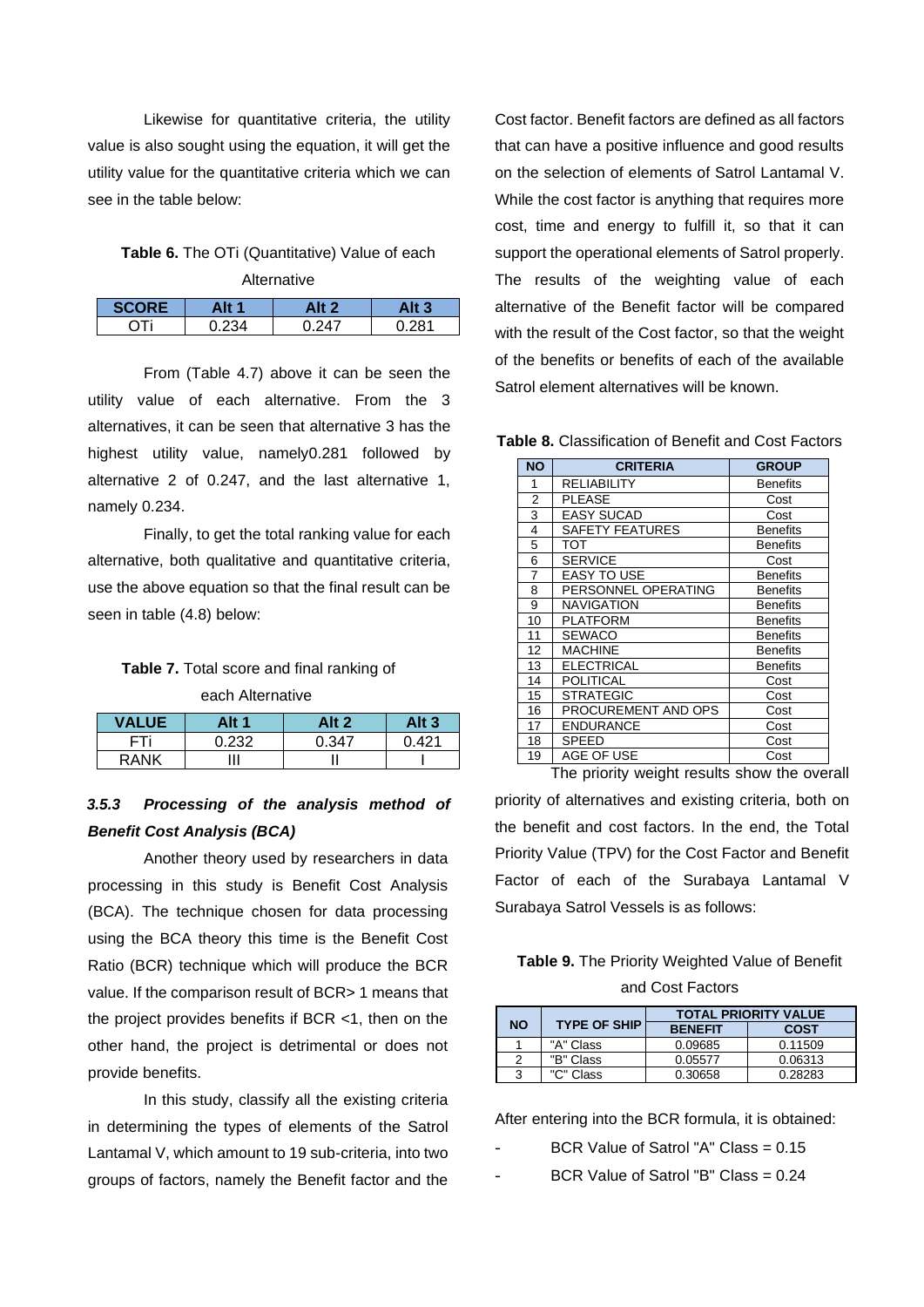Likewise for quantitative criteria, the utility value is also sought using the equation, it will get the utility value for the quantitative criteria which we can see in the table below:

## **Table 6.** The OTi (Quantitative) Value of each Alternative

| Alt 1 |      | Alt 3 |
|-------|------|-------|
| 234   | 0.77 | 291   |

From (Table 4.7) above it can be seen the utility value of each alternative. From the 3 alternatives, it can be seen that alternative 3 has the highest utility value, namely0.281 followed by alternative 2 of 0.247, and the last alternative 1, namely 0.234.

Finally, to get the total ranking value for each alternative, both qualitative and quantitative criteria, use the above equation so that the final result can be seen in table (4.8) below:

#### **Table 7.** Total score and final ranking of

each Alternative

| <b>VALUE</b> | Alt 1 | Alt 2 | Alt 3 |
|--------------|-------|-------|-------|
|              | ი 232 | 0.347 | በ 421 |
| <b>RANK</b>  |       |       |       |

# *3.5.3 Processing of the analysis method of Benefit Cost Analysis (BCA)*

Another theory used by researchers in data processing in this study is Benefit Cost Analysis (BCA). The technique chosen for data processing using the BCA theory this time is the Benefit Cost Ratio (BCR) technique which will produce the BCR value. If the comparison result of BCR> 1 means that the project provides benefits if BCR <1, then on the other hand, the project is detrimental or does not provide benefits.

In this study, classify all the existing criteria in determining the types of elements of the Satrol Lantamal V, which amount to 19 sub-criteria, into two groups of factors, namely the Benefit factor and the

Cost factor. Benefit factors are defined as all factors that can have a positive influence and good results on the selection of elements of Satrol Lantamal V. While the cost factor is anything that requires more cost, time and energy to fulfill it, so that it can support the operational elements of Satrol properly. The results of the weighting value of each alternative of the Benefit factor will be compared with the result of the Cost factor, so that the weight of the benefits or benefits of each of the available Satrol element alternatives will be known.

**Table 8.** Classification of Benefit and Cost Factors

| <b>NO</b>      | <b>CRITERIA</b>        | <b>GROUP</b>    |
|----------------|------------------------|-----------------|
| 1              | RELIABILITY            | Benefits        |
| $\overline{2}$ | <b>PLEASE</b>          | Cost            |
| 3              | <b>EASY SUCAD</b>      | Cost            |
| 4              | <b>SAFETY FEATURES</b> | <b>Benefits</b> |
| 5              | тот                    | <b>Benefits</b> |
| 6              | <b>SERVICE</b>         | Cost            |
| 7              | <b>EASY TO USE</b>     | <b>Benefits</b> |
| 8              | PERSONNEL OPERATING    | Benefits        |
| 9              | <b>NAVIGATION</b>      | Benefits        |
| 10             | PLATFORM               | <b>Benefits</b> |
| 11             | <b>SEWACO</b>          | <b>Benefits</b> |
| 12             | <b>MACHINE</b>         | <b>Benefits</b> |
| 13             | <b>ELECTRICAL</b>      | <b>Benefits</b> |
| 14             | <b>POLITICAL</b>       | Cost            |
| 15             | <b>STRATEGIC</b>       | Cost            |
| 16             | PROCUREMENT AND OPS    | Cost            |
| 17             | <b>ENDURANCE</b>       | Cost            |
| 18             | SPEED                  | Cost            |
| 19             | AGE OF USE             | Cost            |

The priority weight results show the overall priority of alternatives and existing criteria, both on the benefit and cost factors. In the end, the Total Priority Value (TPV) for the Cost Factor and Benefit Factor of each of the Surabaya Lantamal V Surabaya Satrol Vessels is as follows:

## **Table 9.** The Priority Weighted Value of Benefit and Cost Factors

|           |                     |                | <b>TOTAL PRIORITY VALUE</b> |
|-----------|---------------------|----------------|-----------------------------|
| <b>NO</b> | <b>TYPE OF SHIP</b> | <b>BENEFIT</b> | <b>COST</b>                 |
|           | "A" Class           | 0.09685        | 0.11509                     |
| ≘         | "B" Class           | 0.05577        | 0.06313                     |
| ີ         | "C" Class           | 0.30658        | 0.28283                     |

After entering into the BCR formula, it is obtained:

- BCR Value of Satrol "A" Class = 0.15
- BCR Value of Satrol "B" Class = 0.24